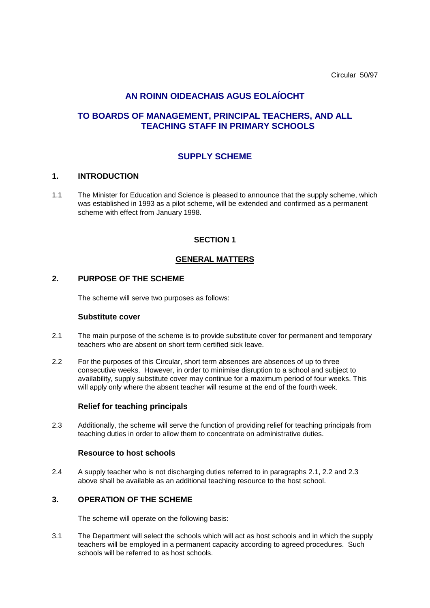Circular 50/97

# **AN ROINN OIDEACHAIS AGUS EOLAÍOCHT**

# **TO BOARDS OF MANAGEMENT, PRINCIPAL TEACHERS, AND ALL TEACHING STAFF IN PRIMARY SCHOOLS**

# **SUPPLY SCHEME**

#### **1. INTRODUCTION**

1.1 The Minister for Education and Science is pleased to announce that the supply scheme, which was established in 1993 as a pilot scheme, will be extended and confirmed as a permanent scheme with effect from January 1998.

### **SECTION 1**

### **GENERAL MATTERS**

#### **2. PURPOSE OF THE SCHEME**

The scheme will serve two purposes as follows:

#### **Substitute cover**

- 2.1 The main purpose of the scheme is to provide substitute cover for permanent and temporary teachers who are absent on short term certified sick leave.
- 2.2 For the purposes of this Circular, short term absences are absences of up to three consecutive weeks. However, in order to minimise disruption to a school and subject to availability, supply substitute cover may continue for a maximum period of four weeks. This will apply only where the absent teacher will resume at the end of the fourth week.

#### **Relief for teaching principals**

2.3 Additionally, the scheme will serve the function of providing relief for teaching principals from teaching duties in order to allow them to concentrate on administrative duties.

#### **Resource to host schools**

2.4 A supply teacher who is not discharging duties referred to in paragraphs 2.1, 2.2 and 2.3 above shall be available as an additional teaching resource to the host school.

#### **3. OPERATION OF THE SCHEME**

The scheme will operate on the following basis:

3.1 The Department will select the schools which will act as host schools and in which the supply teachers will be employed in a permanent capacity according to agreed procedures. Such schools will be referred to as host schools.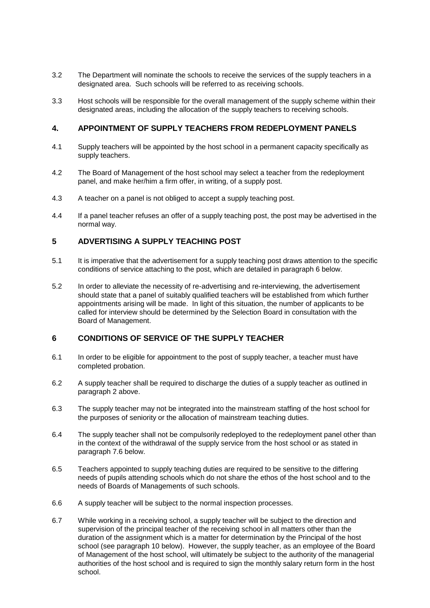- 3.2 The Department will nominate the schools to receive the services of the supply teachers in a designated area. Such schools will be referred to as receiving schools.
- 3.3 Host schools will be responsible for the overall management of the supply scheme within their designated areas, including the allocation of the supply teachers to receiving schools.

## **4. APPOINTMENT OF SUPPLY TEACHERS FROM REDEPLOYMENT PANELS**

- 4.1 Supply teachers will be appointed by the host school in a permanent capacity specifically as supply teachers.
- 4.2 The Board of Management of the host school may select a teacher from the redeployment panel, and make her/him a firm offer, in writing, of a supply post.
- 4.3 A teacher on a panel is not obliged to accept a supply teaching post.
- 4.4 If a panel teacher refuses an offer of a supply teaching post, the post may be advertised in the normal way.

## **5 ADVERTISING A SUPPLY TEACHING POST**

- 5.1 It is imperative that the advertisement for a supply teaching post draws attention to the specific conditions of service attaching to the post, which are detailed in paragraph 6 below.
- 5.2 In order to alleviate the necessity of re-advertising and re-interviewing, the advertisement should state that a panel of suitably qualified teachers will be established from which further appointments arising will be made. In light of this situation, the number of applicants to be called for interview should be determined by the Selection Board in consultation with the Board of Management.

## **6 CONDITIONS OF SERVICE OF THE SUPPLY TEACHER**

- 6.1 In order to be eligible for appointment to the post of supply teacher, a teacher must have completed probation.
- 6.2 A supply teacher shall be required to discharge the duties of a supply teacher as outlined in paragraph 2 above.
- 6.3 The supply teacher may not be integrated into the mainstream staffing of the host school for the purposes of seniority or the allocation of mainstream teaching duties.
- 6.4 The supply teacher shall not be compulsorily redeployed to the redeployment panel other than in the context of the withdrawal of the supply service from the host school or as stated in paragraph 7.6 below.
- 6.5 Teachers appointed to supply teaching duties are required to be sensitive to the differing needs of pupils attending schools which do not share the ethos of the host school and to the needs of Boards of Managements of such schools.
- 6.6 A supply teacher will be subject to the normal inspection processes.
- 6.7 While working in a receiving school, a supply teacher will be subject to the direction and supervision of the principal teacher of the receiving school in all matters other than the duration of the assignment which is a matter for determination by the Principal of the host school (see paragraph 10 below). However, the supply teacher, as an employee of the Board of Management of the host school, will ultimately be subject to the authority of the managerial authorities of the host school and is required to sign the monthly salary return form in the host school.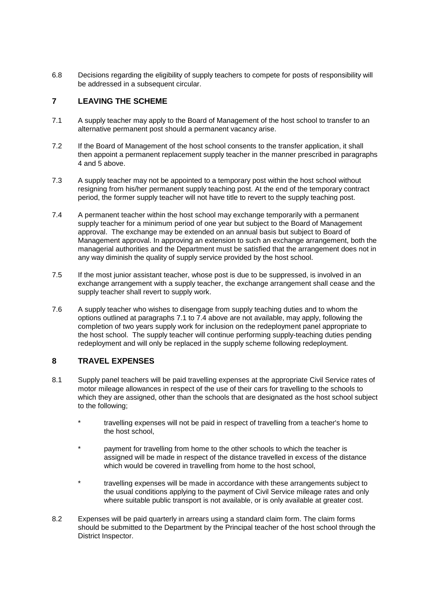6.8 Decisions regarding the eligibility of supply teachers to compete for posts of responsibility will be addressed in a subsequent circular.

# **7 LEAVING THE SCHEME**

- 7.1 A supply teacher may apply to the Board of Management of the host school to transfer to an alternative permanent post should a permanent vacancy arise.
- 7.2 If the Board of Management of the host school consents to the transfer application, it shall then appoint a permanent replacement supply teacher in the manner prescribed in paragraphs 4 and 5 above.
- 7.3 A supply teacher may not be appointed to a temporary post within the host school without resigning from his/her permanent supply teaching post. At the end of the temporary contract period, the former supply teacher will not have title to revert to the supply teaching post.
- 7.4 A permanent teacher within the host school may exchange temporarily with a permanent supply teacher for a minimum period of one year but subject to the Board of Management approval. The exchange may be extended on an annual basis but subject to Board of Management approval. In approving an extension to such an exchange arrangement, both the managerial authorities and the Department must be satisfied that the arrangement does not in any way diminish the quality of supply service provided by the host school.
- 7.5 If the most junior assistant teacher, whose post is due to be suppressed, is involved in an exchange arrangement with a supply teacher, the exchange arrangement shall cease and the supply teacher shall revert to supply work.
- 7.6 A supply teacher who wishes to disengage from supply teaching duties and to whom the options outlined at paragraphs 7.1 to 7.4 above are not available, may apply, following the completion of two years supply work for inclusion on the redeployment panel appropriate to the host school. The supply teacher will continue performing supply-teaching duties pending redeployment and will only be replaced in the supply scheme following redeployment.

## **8 TRAVEL EXPENSES**

- 8.1 Supply panel teachers will be paid travelling expenses at the appropriate Civil Service rates of motor mileage allowances in respect of the use of their cars for travelling to the schools to which they are assigned, other than the schools that are designated as the host school subject to the following;
	- travelling expenses will not be paid in respect of travelling from a teacher's home to the host school,
	- payment for travelling from home to the other schools to which the teacher is assigned will be made in respect of the distance travelled in excess of the distance which would be covered in travelling from home to the host school,
	- travelling expenses will be made in accordance with these arrangements subject to the usual conditions applying to the payment of Civil Service mileage rates and only where suitable public transport is not available, or is only available at greater cost.
- 8.2 Expenses will be paid quarterly in arrears using a standard claim form. The claim forms should be submitted to the Department by the Principal teacher of the host school through the District Inspector.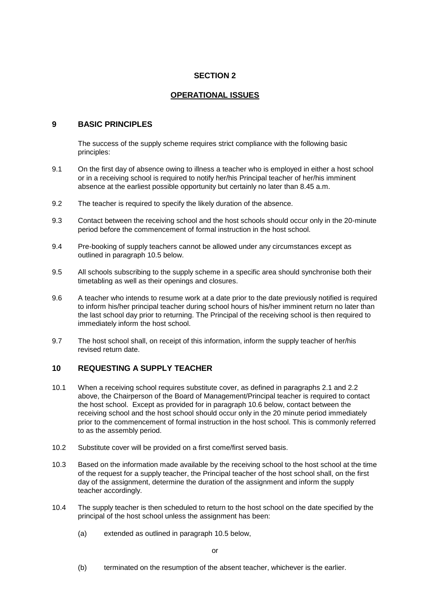### **SECTION 2**

## **OPERATIONAL ISSUES**

## **9 BASIC PRINCIPLES**

The success of the supply scheme requires strict compliance with the following basic principles:

- 9.1 On the first day of absence owing to illness a teacher who is employed in either a host school or in a receiving school is required to notify her/his Principal teacher of her/his imminent absence at the earliest possible opportunity but certainly no later than 8.45 a.m.
- 9.2 The teacher is required to specify the likely duration of the absence.
- 9.3 Contact between the receiving school and the host schools should occur only in the 20-minute period before the commencement of formal instruction in the host school.
- 9.4 Pre-booking of supply teachers cannot be allowed under any circumstances except as outlined in paragraph 10.5 below.
- 9.5 All schools subscribing to the supply scheme in a specific area should synchronise both their timetabling as well as their openings and closures.
- 9.6 A teacher who intends to resume work at a date prior to the date previously notified is required to inform his/her principal teacher during school hours of his/her imminent return no later than the last school day prior to returning. The Principal of the receiving school is then required to immediately inform the host school.
- 9.7 The host school shall, on receipt of this information, inform the supply teacher of her/his revised return date.

# **10 REQUESTING A SUPPLY TEACHER**

- 10.1 When a receiving school requires substitute cover, as defined in paragraphs 2.1 and 2.2 above, the Chairperson of the Board of Management/Principal teacher is required to contact the host school. Except as provided for in paragraph 10.6 below, contact between the receiving school and the host school should occur only in the 20 minute period immediately prior to the commencement of formal instruction in the host school. This is commonly referred to as the assembly period.
- 10.2 Substitute cover will be provided on a first come/first served basis.
- 10.3 Based on the information made available by the receiving school to the host school at the time of the request for a supply teacher, the Principal teacher of the host school shall, on the first day of the assignment, determine the duration of the assignment and inform the supply teacher accordingly.
- 10.4 The supply teacher is then scheduled to return to the host school on the date specified by the principal of the host school unless the assignment has been:
	- (a) extended as outlined in paragraph 10.5 below,

(b) terminated on the resumption of the absent teacher, whichever is the earlier.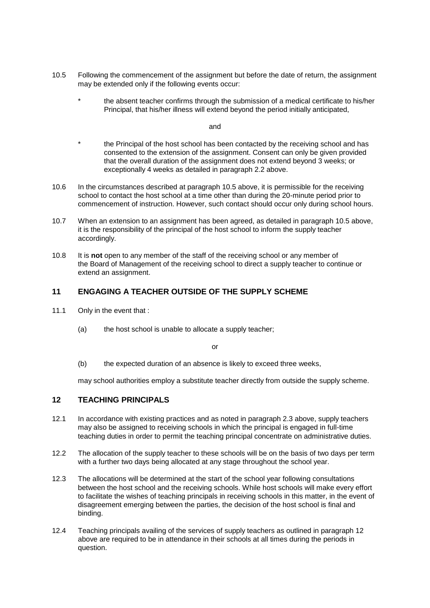- 10.5 Following the commencement of the assignment but before the date of return, the assignment may be extended only if the following events occur:
	- the absent teacher confirms through the submission of a medical certificate to his/her Principal, that his/her illness will extend beyond the period initially anticipated,

and

- the Principal of the host school has been contacted by the receiving school and has consented to the extension of the assignment. Consent can only be given provided that the overall duration of the assignment does not extend beyond 3 weeks; or exceptionally 4 weeks as detailed in paragraph 2.2 above.
- 10.6 In the circumstances described at paragraph 10.5 above, it is permissible for the receiving school to contact the host school at a time other than during the 20-minute period prior to commencement of instruction. However, such contact should occur only during school hours.
- 10.7 When an extension to an assignment has been agreed, as detailed in paragraph 10.5 above, it is the responsibility of the principal of the host school to inform the supply teacher accordingly.
- 10.8 It is **not** open to any member of the staff of the receiving school or any member of the Board of Management of the receiving school to direct a supply teacher to continue or extend an assignment.

## **11 ENGAGING A TEACHER OUTSIDE OF THE SUPPLY SCHEME**

- 11.1 Only in the event that :
	- (a) the host school is unable to allocate a supply teacher;

or

(b) the expected duration of an absence is likely to exceed three weeks,

may school authorities employ a substitute teacher directly from outside the supply scheme.

## **12 TEACHING PRINCIPALS**

- 12.1 In accordance with existing practices and as noted in paragraph 2.3 above, supply teachers may also be assigned to receiving schools in which the principal is engaged in full-time teaching duties in order to permit the teaching principal concentrate on administrative duties.
- 12.2 The allocation of the supply teacher to these schools will be on the basis of two days per term with a further two days being allocated at any stage throughout the school year.
- 12.3 The allocations will be determined at the start of the school year following consultations between the host school and the receiving schools. While host schools will make every effort to facilitate the wishes of teaching principals in receiving schools in this matter, in the event of disagreement emerging between the parties, the decision of the host school is final and binding.
- 12.4 Teaching principals availing of the services of supply teachers as outlined in paragraph 12 above are required to be in attendance in their schools at all times during the periods in question.